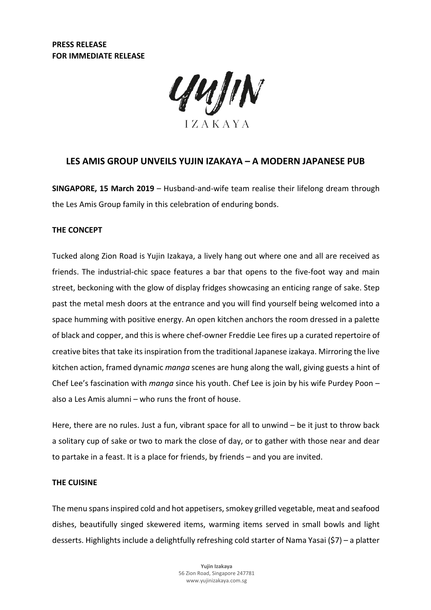

# **LES AMIS GROUP UNVEILS YUJIN IZAKAYA – A MODERN JAPANESE PUB**

**SINGAPORE, 15 March 2019** – Husband-and-wife team realise their lifelong dream through the Les Amis Group family in this celebration of enduring bonds.

## **THE CONCEPT**

Tucked along Zion Road is Yujin Izakaya, a lively hang out where one and all are received as friends. The industrial-chic space features a bar that opens to the five-foot way and main street, beckoning with the glow of display fridges showcasing an enticing range of sake. Step past the metal mesh doors at the entrance and you will find yourself being welcomed into a space humming with positive energy. An open kitchen anchors the room dressed in a palette of black and copper, and this is where chef-owner Freddie Lee fires up a curated repertoire of creative bites that take its inspiration from the traditional Japanese izakaya. Mirroring the live kitchen action, framed dynamic *manga* scenes are hung along the wall, giving guests a hint of Chef Lee's fascination with *manga* since his youth. Chef Lee is join by his wife Purdey Poon – also a Les Amis alumni – who runs the front of house.

Here, there are no rules. Just a fun, vibrant space for all to unwind – be it just to throw back a solitary cup of sake or two to mark the close of day, or to gather with those near and dear to partake in a feast. It is a place for friends, by friends – and you are invited.

#### **THE CUISINE**

The menu spans inspired cold and hot appetisers, smokey grilled vegetable, meat and seafood dishes, beautifully singed skewered items, warming items served in small bowls and light desserts. Highlights include a delightfully refreshing cold starter of Nama Yasai (\$7) – a platter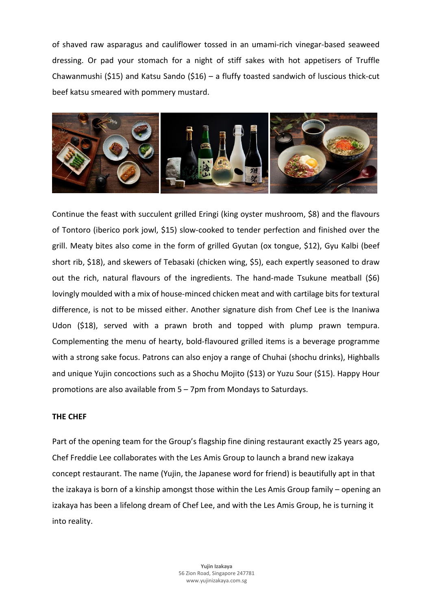of shaved raw asparagus and cauliflower tossed in an umami-rich vinegar-based seaweed dressing. Or pad your stomach for a night of stiff sakes with hot appetisers of Truffle Chawanmushi (\$15) and Katsu Sando (\$16) – a fluffy toasted sandwich of luscious thick-cut beef katsu smeared with pommery mustard.



Continue the feast with succulent grilled Eringi (king oyster mushroom, \$8) and the flavours of Tontoro (iberico pork jowl, \$15) slow-cooked to tender perfection and finished over the grill. Meaty bites also come in the form of grilled Gyutan (ox tongue, \$12), Gyu Kalbi (beef short rib, \$18), and skewers of Tebasaki (chicken wing, \$5), each expertly seasoned to draw out the rich, natural flavours of the ingredients. The hand-made Tsukune meatball (\$6) lovingly moulded with a mix of house-minced chicken meat and with cartilage bits for textural difference, is not to be missed either. Another signature dish from Chef Lee is the Inaniwa Udon (\$18), served with a prawn broth and topped with plump prawn tempura. Complementing the menu of hearty, bold-flavoured grilled items is a beverage programme with a strong sake focus. Patrons can also enjoy a range of Chuhai (shochu drinks), Highballs and unique Yujin concoctions such as a Shochu Mojito (\$13) or Yuzu Sour (\$15). Happy Hour promotions are also available from 5 – 7pm from Mondays to Saturdays.

## **THE CHEF**

Part of the opening team for the Group's flagship fine dining restaurant exactly 25 years ago, Chef Freddie Lee collaborates with the Les Amis Group to launch a brand new izakaya concept restaurant. The name (Yujin, the Japanese word for friend) is beautifully apt in that the izakaya is born of a kinship amongst those within the Les Amis Group family – opening an izakaya has been a lifelong dream of Chef Lee, and with the Les Amis Group, he is turning it into reality.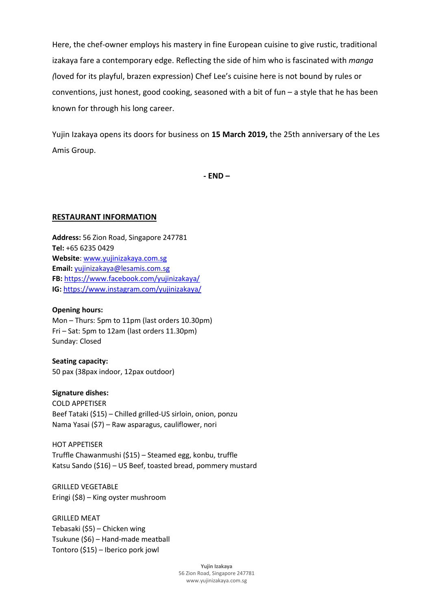Here, the chef-owner employs his mastery in fine European cuisine to give rustic, traditional izakaya fare a contemporary edge. Reflecting the side of him who is fascinated with *manga (*loved for its playful, brazen expression) Chef Lee's cuisine here is not bound by rules or conventions, just honest, good cooking, seasoned with a bit of fun – a style that he has been known for through his long career.

Yujin Izakaya opens its doors for business on **15 March 2019,** the 25th anniversary of the Les Amis Group.

**- END –**

#### **RESTAURANT INFORMATION**

**Address:** 56 Zion Road, Singapore 247781 **Tel:** +65 6235 0429 **Website**: www.yujinizakaya.com.sg **Email:** yujinizakaya@lesamis.com.sg **FB:** <https://www.facebook.com/yujinizakaya/> **IG:** <https://www.instagram.com/yujinizakaya/>

#### **Opening hours:**

Mon – Thurs: 5pm to 11pm (last orders 10.30pm) Fri – Sat: 5pm to 12am (last orders 11.30pm) Sunday: Closed

**Seating capacity:** 50 pax (38pax indoor, 12pax outdoor)

**Signature dishes:** COLD APPETISER Beef Tataki (\$15) – Chilled grilled-US sirloin, onion, ponzu Nama Yasai (\$7) – Raw asparagus, cauliflower, nori

HOT APPETISER Truffle Chawanmushi (\$15) – Steamed egg, konbu, truffle Katsu Sando (\$16) – US Beef, toasted bread, pommery mustard

GRILLED VEGETABLE Eringi (\$8) – King oyster mushroom

GRILLED MEAT Tebasaki (\$5) – Chicken wing Tsukune (\$6) – Hand-made meatball Tontoro (\$15) – Iberico pork jowl

> **Yujin Izakaya** 56 Zion Road, Singapore 247781 www.yujinizakaya.com.sg